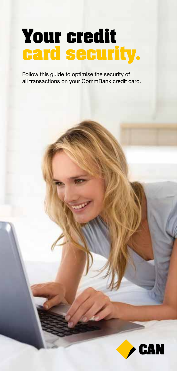# **Your credit card security.**

Follow this guide to optimise the security of all transactions on your CommBank credit card.

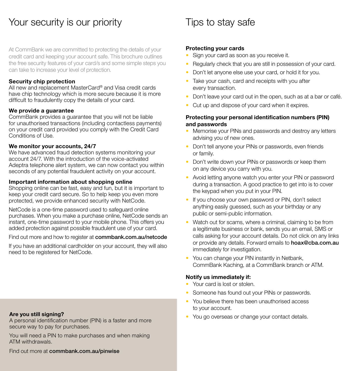## Your security is our priority

At CommBank we are committed to protecting the details of your credit card and keeping your account safe. This brochure outlines the free security features of your card/s and some simple steps you can take to increase your level of protection.

#### **Security chip protection**

All new and replacement MasterCard® and Visa credit cards have chip technology which is more secure because it is more difficult to fraudulently copy the details of your card.

#### **We provide a guarantee**

CommBank provides a guarantee that you will not be liable for unauthorised transactions (including contactless payments) on your credit card provided you comply with the Credit Card Conditions of Use.

#### **We monitor your accounts, 24/7**

We have advanced fraud detection systems monitoring your account 24/7. With the introduction of the voice-activated Adeptra telephone alert system, we can now contact you within seconds of any potential fraudulent activity on your account.

#### **Important information about shopping online**

Shopping online can be fast, easy and fun, but it is important to keep your credit card secure. So to help keep you even more protected, we provide enhanced security with NetCode.

NetCode is a one-time password used to safeguard online purchases. When you make a purchase online, NetCode sends an instant, one-time password to your mobile phone. This offers you added protection against possible fraudulent use of your card.

Find out more and how to register at commbank.com.au/netcode

If you have an additional cardholder on your account, they will also need to be registered for NetCode.

## Tips to stay safe

#### **Protecting your cards**

- Sign your card as soon as you receive it.
- Regularly check that you are still in possession of your card.
- Don't let anyone else use your card, or hold it for you.
- Take your cash, card and receipts with you after every transaction.
- Don't leave your card out in the open, such as at a bar or café.
- Cut up and dispose of your card when it expires.

#### **Protecting your personal identification numbers (PIN) and passwords**

- Memorise your PINs and passwords and destroy any letters advising you of new ones.
- Don't tell anyone your PINs or passwords, even friends or family.
- Don't write down your PINs or passwords or keep them on any device you carry with you.
- Avoid letting anyone watch you enter your PIN or password during a transaction. A good practice to get into is to cover the keypad when you put in your PIN.
- If you choose your own password or PIN, don't select anything easily guessed, such as your birthday or any public or semi-public information.
- Watch out for scams, where a criminal, claiming to be from a legitimate business or bank, sends you an email, SMS or calls asking for your account details. Do not click on any links or provide any details. Forward emails to hoax@cba.com.au immediately for investigation.
- You can change your PIN instantly in Netbank, CommBank Kaching, at a CommBank branch or ATM.

#### **Notify us immediately if:**

- Your card is lost or stolen.
- Someone has found out your PINs or passwords.
- You believe there has been unauthorised access to your account.
- You go overseas or change your contact details.

#### **Are you still signing?**

A personal identification number (PIN) is a faster and more secure way to pay for purchases.

You will need a PIN to make purchases and when making ATM withdrawals.

Find out more at commbank.com.au/pinwise